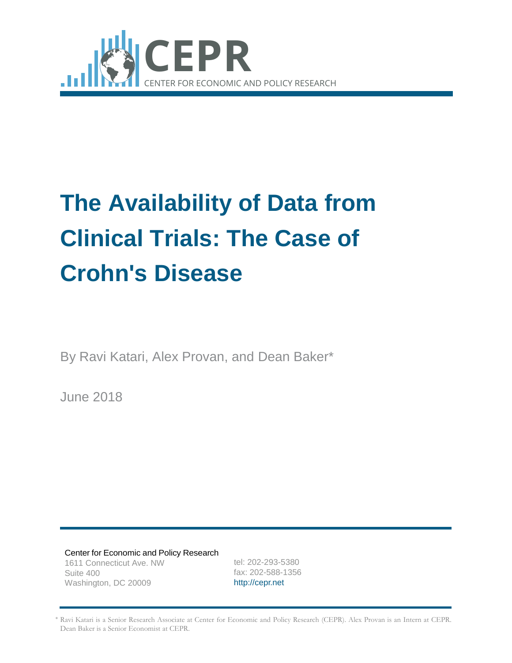

# **The Availability of Data from Clinical Trials: The Case of Crohn's Disease**

By Ravi Katari, Alex Provan, and Dean Baker\*

June 2018

Center for Economic and Policy Research 1611 Connecticut Ave. NW Suite 400 Washington, DC 20009

tel: 202-293-5380 fax: 202-588-1356 [http://cepr.net](http://cepr.net/)

\* Ravi Katari is a Senior Research Associate at Center for Economic and Policy Research (CEPR). Alex Provan is an Intern at CEPR. Dean Baker is a Senior Economist at CEPR.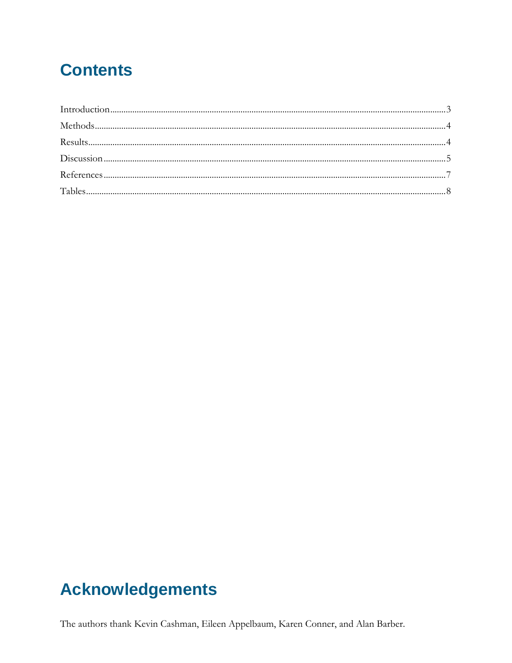# **Contents**

# **Acknowledgements**

The authors thank Kevin Cashman, Eileen Appelbaum, Karen Conner, and Alan Barber.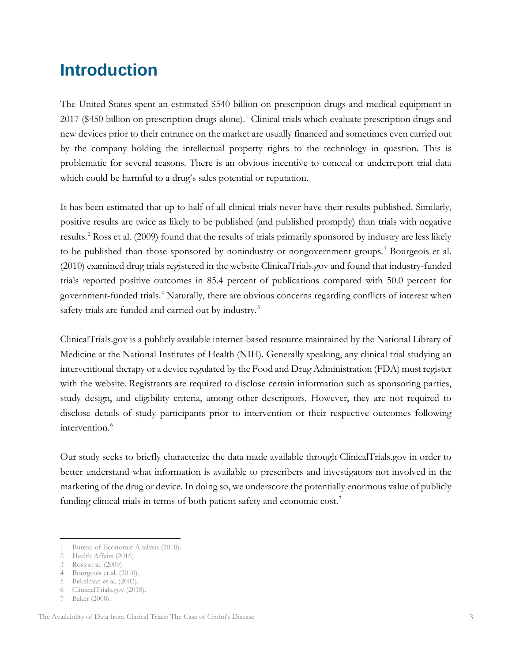# <span id="page-2-0"></span>**Introduction**

The United States spent an estimated \$540 billion on prescription drugs and medical equipment in 20[1](#page-2-1)7 (\$450 billion on prescription drugs alone).<sup>1</sup> Clinical trials which evaluate prescription drugs and new devices prior to their entrance on the market are usually financed and sometimes even carried out by the company holding the intellectual property rights to the technology in question. This is problematic for several reasons. There is an obvious incentive to conceal or underreport trial data which could be harmful to a drug's sales potential or reputation.

It has been estimated that up to half of all clinical trials never have their results published. Similarly, positive results are twice as likely to be published (and published promptly) than trials with negative results.<sup>[2](#page-2-2)</sup> Ross et al. (2009) found that the results of trials primarily sponsored by industry are less likely to be published than those sponsored by nonindustry or nongovernment groups.<sup>[3](#page-2-3)</sup> Bourgeois et al. (2010) examined drug trials registered in the website ClinicalTrials.gov and found that industry-funded trials reported positive outcomes in 85.4 percent of publications compared with 50.0 percent for government-funded trials.[4](#page-2-4) Naturally, there are obvious concerns regarding conflicts of interest when safety trials are funded and carried out by industry.<sup>[5](#page-2-5)</sup>

ClinicalTrials.gov is a publicly available internet-based resource maintained by the National Library of Medicine at the National Institutes of Health (NIH). Generally speaking, any clinical trial studying an interventional therapy or a device regulated by the Food and Drug Administration (FDA) must register with the website. Registrants are required to disclose certain information such as sponsoring parties, study design, and eligibility criteria, among other descriptors. However, they are not required to disclose details of study participants prior to intervention or their respective outcomes following intervention.<sup>[6](#page-2-6)</sup>

Our study seeks to briefly characterize the data made available through ClinicalTrials.gov in order to better understand what information is available to prescribers and investigators not involved in the marketing of the drug or device. In doing so, we underscore the potentially enormous value of publicly funding clinical trials in terms of both patient safety and economic cost.<sup>[7](#page-2-7)</sup>

 $\overline{a}$ 

<span id="page-2-1"></span><sup>1</sup> Bureau of Economic Analysis (2018).

<span id="page-2-3"></span><span id="page-2-2"></span><sup>2</sup> Health Affairs (2016).

<sup>3</sup> Ross et al. (2009).

<span id="page-2-4"></span><sup>4</sup> Bourgeois et al. (2010).

<span id="page-2-5"></span><sup>5</sup> Bekelman et al. (2003).

<span id="page-2-6"></span><sup>6</sup> [ClinicialTrials.gov](http://clinicialtrials.gov/) (2018).

<span id="page-2-7"></span><sup>7</sup> Baker (2008).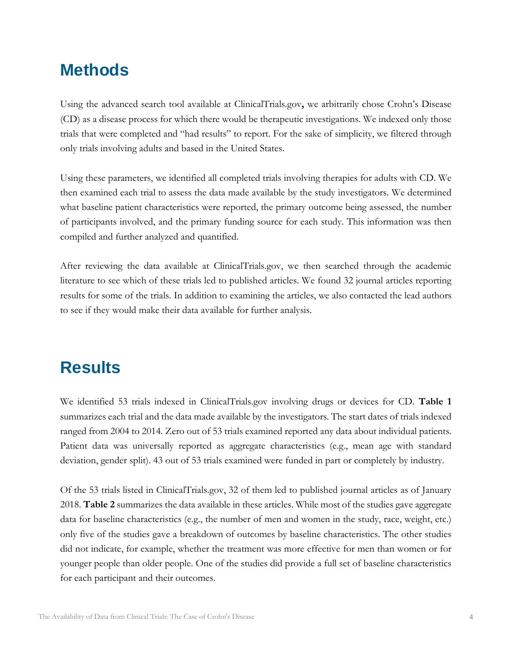# <span id="page-3-0"></span>**Methods**

Using the advanced search tool available at ClinicalTrials.gov**,** we arbitrarily chose Crohn's Disease (CD) as a disease process for which there would be therapeutic investigations. We indexed only those trials that were completed and "had results" to report. For the sake of simplicity, we filtered through only trials involving adults and based in the United States.

Using these parameters, we identified all completed trials involving therapies for adults with CD. We then examined each trial to assess the data made available by the study investigators. We determined what baseline patient characteristics were reported, the primary outcome being assessed, the number of participants involved, and the primary funding source for each study. This information was then compiled and further analyzed and quantified.

After reviewing the data available at ClinicalTrials.gov, we then searched through the academic literature to see which of these trials led to published articles. We found 32 journal articles reporting results for some of the trials. In addition to examining the articles, we also contacted the lead authors to see if they would make their data available for further analysis.

# <span id="page-3-1"></span>**Results**

We identified 53 trials indexed in ClinicalTrials.gov involving drugs or devices for CD. **Table 1** summarizes each trial and the data made available by the investigators. The start dates of trials indexed ranged from 2004 to 2014. Zero out of 53 trials examined reported any data about individual patients. Patient data was universally reported as aggregate characteristics (e.g., mean age with standard deviation, gender split). 43 out of 53 trials examined were funded in part or completely by industry.

Of the 53 trials listed in ClinicalTrials.gov, 32 of them led to published journal articles as of January 2018. **Table 2** summarizes the data available in these articles. While most of the studies gave aggregate data for baseline characteristics (e.g., the number of men and women in the study, race, weight, etc.) only five of the studies gave a breakdown of outcomes by baseline characteristics. The other studies did not indicate, for example, whether the treatment was more effective for men than women or for younger people than older people. One of the studies did provide a full set of baseline characteristics for each participant and their outcomes.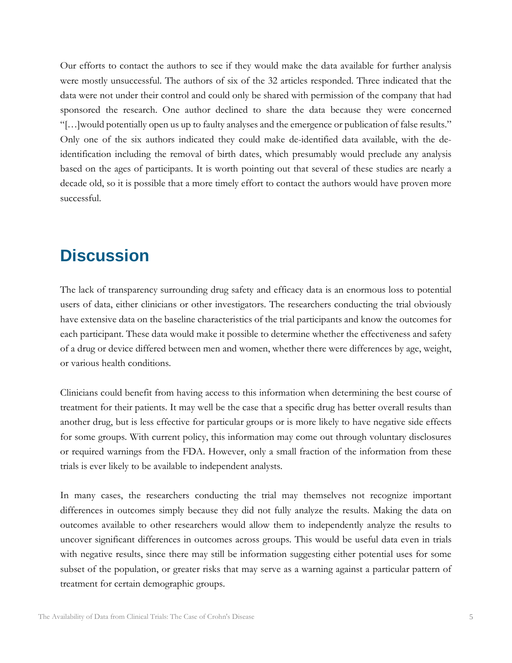Our efforts to contact the authors to see if they would make the data available for further analysis were mostly unsuccessful. The authors of six of the 32 articles responded. Three indicated that the data were not under their control and could only be shared with permission of the company that had sponsored the research. One author declined to share the data because they were concerned "[…]would potentially open us up to faulty analyses and the emergence or publication of false results." Only one of the six authors indicated they could make de-identified data available, with the deidentification including the removal of birth dates, which presumably would preclude any analysis based on the ages of participants. It is worth pointing out that several of these studies are nearly a decade old, so it is possible that a more timely effort to contact the authors would have proven more successful.

### <span id="page-4-0"></span>**Discussion**

The lack of transparency surrounding drug safety and efficacy data is an enormous loss to potential users of data, either clinicians or other investigators. The researchers conducting the trial obviously have extensive data on the baseline characteristics of the trial participants and know the outcomes for each participant. These data would make it possible to determine whether the effectiveness and safety of a drug or device differed between men and women, whether there were differences by age, weight, or various health conditions.

Clinicians could benefit from having access to this information when determining the best course of treatment for their patients. It may well be the case that a specific drug has better overall results than another drug, but is less effective for particular groups or is more likely to have negative side effects for some groups. With current policy, this information may come out through voluntary disclosures or required warnings from the FDA. However, only a small fraction of the information from these trials is ever likely to be available to independent analysts.

In many cases, the researchers conducting the trial may themselves not recognize important differences in outcomes simply because they did not fully analyze the results. Making the data on outcomes available to other researchers would allow them to independently analyze the results to uncover significant differences in outcomes across groups. This would be useful data even in trials with negative results, since there may still be information suggesting either potential uses for some subset of the population, or greater risks that may serve as a warning against a particular pattern of treatment for certain demographic groups.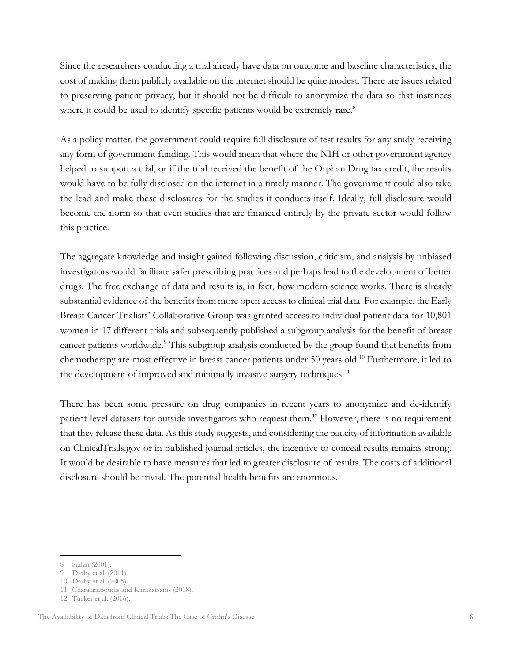Since the researchers conducting a trial already have data on outcome and baseline characteristics, the cost of making them publicly available on the internet should be quite modest. There are issues related to preserving patient privacy, but it should not be difficult to anonymize the data so that instances where it could be used to identify specific patients would be extremely rare.<sup>[8](#page-5-0)</sup>

As a policy matter, the government could require full disclosure of test results for any study receiving any form of government funding. This would mean that where the NIH or other government agency helped to support a trial, or if the trial received the benefit of the Orphan Drug tax credit, the results would have to be fully disclosed on the internet in a timely manner. The government could also take the lead and make these disclosures for the studies it conducts itself. Ideally, full disclosure would become the norm so that even studies that are financed entirely by the private sector would follow this practice.

The aggregate knowledge and insight gained following discussion, criticism, and analysis by unbiased investigators would facilitate safer prescribing practices and perhaps lead to the development of better drugs. The free exchange of data and results is, in fact, how modern science works. There is already substantial evidence of the benefits from more open access to clinical trial data. For example, the Early Breast Cancer Trialists' Collaborative Group was granted access to individual patient data for 10,801 women in 17 different trials and subsequently published a subgroup analysis for the benefit of breast cancer patients worldwide.<sup>[9](#page-5-1)</sup> This subgroup analysis conducted by the group found that benefits from chemotherapy are most effective in breast cancer patients under 50 years old.<sup>[10](#page-5-2)</sup> Furthermore, it led to the development of improved and minimally invasive surgery techniques.<sup>[11](#page-5-3)</sup>

There has been some pressure on drug companies in recent years to anonymize and de-identify patient-level datasets for outside investigators who request them.[12](#page-5-4) However, there is no requirement that they release these data. As this study suggests, and considering the paucity of information available on ClinicalTrials.gov or in published journal articles, the incentive to conceal results remains strong. It would be desirable to have measures that led to greater disclosure of results. The costs of additional disclosure should be trivial. The potential health benefits are enormous.

<sup>8</sup> Sadan (2001).  $\overline{a}$ 

<span id="page-5-0"></span><sup>9</sup> Darby et al. (2011).

<sup>10</sup> Darby et al. (2005).

<sup>11</sup> Charalampoudis and Karakatsanis (2018).

<sup>12</sup> Tucker et al. (2016).

<span id="page-5-4"></span><span id="page-5-3"></span><span id="page-5-2"></span><span id="page-5-1"></span>The Availability of Data from Clinical Trials: The Case of Crohn's Disease 6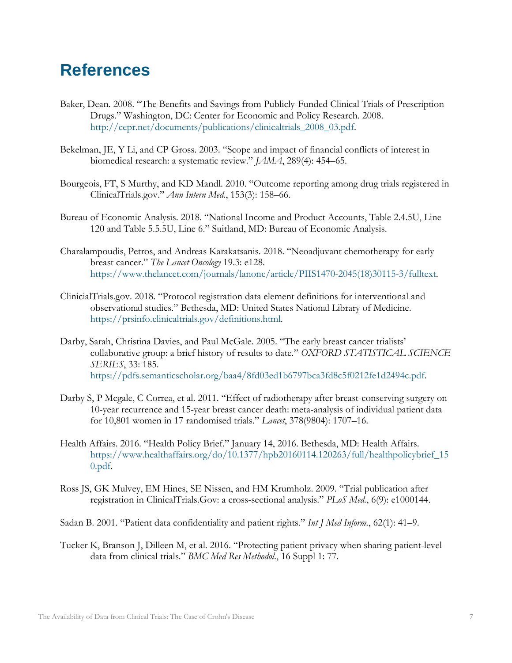## <span id="page-6-0"></span>**References**

- Baker, Dean. 2008. "The Benefits and Savings from Publicly-Funded Clinical Trials of Prescription Drugs." Washington, DC: Center for Economic and Policy Research. 2008. [http://cepr.net/documents/publications/clinicaltrials\\_2008\\_03.pdf.](http://cepr.net/documents/publications/clinicaltrials_2008_03.pdf)
- Bekelman, JE, Y Li, and CP Gross. 2003. "Scope and impact of financial conflicts of interest in biomedical research: a systematic review." *JAMA*, 289(4): 454–65.
- Bourgeois, FT, S Murthy, and KD Mandl. 2010. "Outcome reporting among drug trials registered in ClinicalTrials.gov." *Ann Intern Med*., 153(3): 158–66.
- Bureau of Economic Analysis. 2018. "National Income and Product Accounts, Table 2.4.5U, Line 120 and Table 5.5.5U, Line 6." Suitland, MD: Bureau of Economic Analysis.
- Charalampoudis, Petros, and Andreas Karakatsanis. 2018. "Neoadjuvant chemotherapy for early breast cancer." *The Lancet Oncology* 19.3: e128. [https://www.thelancet.com/journals/lanonc/article/PIIS1470-2045\(18\)30115-3/fulltext.](https://www.thelancet.com/journals/lanonc/article/PIIS1470-2045(18)30115-3/fulltext)
- ClinicialTrials.gov. 2018. "Protocol registration data element definitions for interventional and observational studies." Bethesda, MD: United States National Library of Medicine. [https://prsinfo.clinicaltrials.gov/definitions.html.](https://prsinfo.clinicaltrials.gov/definitions.html)
- Darby, Sarah, Christina Davies, and Paul McGale. 2005. "The early breast cancer trialists' collaborative group: a brief history of results to date." *OXFORD STATISTICAL SCIENCE SERIES*, 33: 185. [https://pdfs.semanticscholar.org/baa4/8fd03ed1b6797bca3fd8c5f0212fe1d2494c.pdf.](https://pdfs.semanticscholar.org/baa4/8fd03ed1b6797bca3fd8c5f0212fe1d2494c.pdf)
- Darby S, P Mcgale, C Correa, et al. 2011. "Effect of radiotherapy after breast-conserving surgery on 10-year recurrence and 15-year breast cancer death: meta-analysis of individual patient data for 10,801 women in 17 randomised trials." *Lancet*, 378(9804): 1707–16.
- Health Affairs. 2016. "Health Policy Brief." January 14, 2016. Bethesda, MD: Health Affairs. [https://www.healthaffairs.org/do/10.1377/hpb20160114.120263/full/healthpolicybrief\\_15](https://www.healthaffairs.org/do/10.1377/hpb20160114.120263/full/healthpolicybrief_150.pdf) [0.pdf.](https://www.healthaffairs.org/do/10.1377/hpb20160114.120263/full/healthpolicybrief_150.pdf)
- Ross JS, GK Mulvey, EM Hines, SE Nissen, and HM Krumholz. 2009. "Trial publication after registration in ClinicalTrials.Gov: a cross-sectional analysis." *PLoS Med.*, 6(9): e1000144.
- Sadan B. 2001. "Patient data confidentiality and patient rights." *Int J Med Inform.*, 62(1): 41–9.
- Tucker K, Branson J, Dilleen M, et al. 2016. "Protecting patient privacy when sharing patient-level data from clinical trials." *BMC Med Res Methodol*., 16 Suppl 1: 77.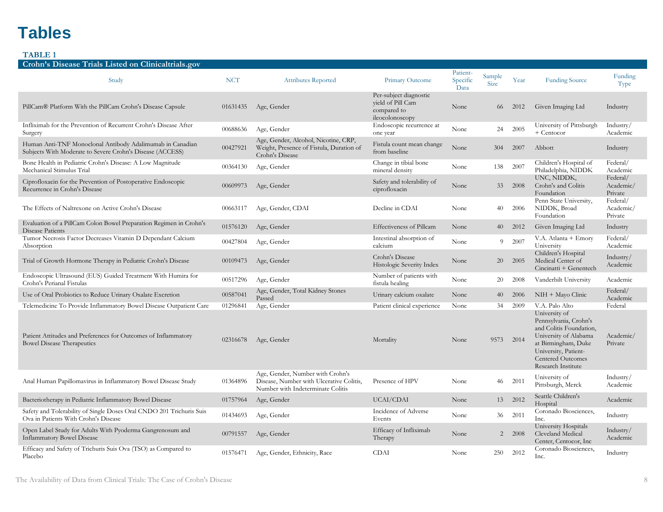# **Tables**

<span id="page-7-0"></span>

| Crohn's Disease Trials Listed on Clinicaltrials.gov                                                                                                                       |                      |                                                                                                                   |                                                                               |                              |                       |              |                                                                                                                                                                                                               |                                  |
|---------------------------------------------------------------------------------------------------------------------------------------------------------------------------|----------------------|-------------------------------------------------------------------------------------------------------------------|-------------------------------------------------------------------------------|------------------------------|-----------------------|--------------|---------------------------------------------------------------------------------------------------------------------------------------------------------------------------------------------------------------|----------------------------------|
| Study                                                                                                                                                                     | <b>NCT</b>           | <b>Attributes Reported</b>                                                                                        | Primary Outcome                                                               | Patient-<br>Specific<br>Data | Sample<br><b>Size</b> | Year         | <b>Funding Source</b>                                                                                                                                                                                         | Funding<br>Type                  |
| PillCam® Platform With the PillCam Crohn's Disease Capsule                                                                                                                | 01631435             | Age, Gender                                                                                                       | Per-subject diagnostic<br>vield of Pill Cam<br>compared to<br>ileocolonoscopy | None                         | 66                    | 2012         | Given Imaging Ltd                                                                                                                                                                                             | Industry                         |
| Infliximab for the Prevention of Recurrent Crohn's Disease After<br>Surgery                                                                                               | 00688636             | Age, Gender                                                                                                       | Endoscopic recurrence at<br>one year                                          | None                         | 24                    | 2005         | University of Pittsburgh<br>+ Centocor                                                                                                                                                                        | Industry/<br>Academic            |
| Human Anti-TNF Monoclonal Antibody Adalimumab in Canadian<br>Subjects With Moderate to Severe Crohn's Disease (ACCESS)                                                    | 00427921             | Age, Gender, Alcohol, Nicotine, CRP,<br>Weight, Presence of Fistula, Duration of<br>Crohn's Disease               | Fistula count mean change<br>from baseline                                    | None                         | 304                   | 2007         | Abbott                                                                                                                                                                                                        | Industry                         |
| Bone Health in Pediatric Crohn's Disease: A Low Magnitude<br>Mechanical Stimulus Trial                                                                                    | 00364130             | Age, Gender                                                                                                       | Change in tibial bone<br>mineral density                                      | None                         | 138                   | 2007         | Children's Hospital of<br>Philadelphia, NIDDK                                                                                                                                                                 | Federal/<br>Academic             |
| Ciprofloxacin for the Prevention of Postoperative Endoscopic<br>Recurrence in Crohn's Disease                                                                             | 00609973             | Age, Gender                                                                                                       | Safety and tolerability of<br>ciprofloxacin                                   | None                         | 33                    | 2008         | UNC, NIDDK,<br>Crohn's and Colitis<br>Foundation                                                                                                                                                              | Federal/<br>Academic/<br>Private |
| The Effects of Naltrexone on Active Crohn's Disease                                                                                                                       | 00663117             | Age, Gender, CDAI                                                                                                 | Decline in CDAI                                                               | None                         | 40                    | 2006         | Penn State University,<br>NIDDK, Broad<br>Foundation                                                                                                                                                          | Federal/<br>Academic/<br>Private |
| Evaluation of a PillCam Colon Bowel Preparation Regimen in Crohn's<br>Disease Patients                                                                                    | 01576120             | Age, Gender                                                                                                       | Effectiveness of Pillcam                                                      | None                         | 40                    | 2012         | Given Imaging Ltd                                                                                                                                                                                             | Industry                         |
| Tumor Necrosis Factor Decreases Vitamin D Dependant Calcium<br>Absorption                                                                                                 | 00427804             | Age, Gender                                                                                                       | Intestinal absorption of<br>calcium                                           | None                         | 9                     | 2007         | V.A. Atlanta + Emory<br>University                                                                                                                                                                            | Federal/<br>Academic             |
| Trial of Growth Hormone Therapy in Pediatric Crohn's Disease                                                                                                              | 00109473             | Age, Gender                                                                                                       | Crohn's Disease<br>Histologic Severity Index                                  | None                         | 20                    | 2005         | Children's Hospital<br>Medical Center of<br>Cincinatti + Genentech                                                                                                                                            | Industry/<br>Academic            |
| Endoscopic Ultrasound (EUS) Guided Treatment With Humira for<br>Crohn's Perianal Fistulas                                                                                 | 00517296             | Age, Gender                                                                                                       | Number of patients with<br>fistula healing                                    | None                         | 20                    | 2008         | Vanderbilt University                                                                                                                                                                                         | Academic                         |
| Use of Oral Probiotics to Reduce Urinary Oxalate Excretion                                                                                                                | 00587041             | Age, Gender, Total Kidney Stones<br>Passed                                                                        | Urinary calcium oxalate                                                       | None                         | 40                    | 2006         | NIH + Mayo Clinic                                                                                                                                                                                             | Federal/<br>Academic             |
| Telemedicine To Provide Inflammatory Bowel Disease Outpatient Care<br>Patient Attitudes and Preferences for Outcomes of Inflammatory<br><b>Bowel Disease Therapeutics</b> | 01296841<br>02316678 | Age, Gender<br>Age, Gender                                                                                        | Patient clinical experience<br>Mortality                                      | None<br>None                 | 34<br>9573            | 2009<br>2014 | V.A. Palo Alto<br>University of<br>Pennsylvania, Crohn's<br>and Colitis Foundation.<br>University of Alabama<br>at Birmingham, Duke<br>University, Patient-<br><b>Centered Outcomes</b><br>Research Institute | Federal<br>Academic/<br>Private  |
| Anal Human Papillomavirus in Inflammatory Bowel Disease Study                                                                                                             | 01364896             | Age, Gender, Number with Crohn's<br>Disease, Number with Ulcerative Colitis,<br>Number with Indeterminate Colitis | Presence of HPV                                                               | None                         | 46                    | 2011         | University of<br>Pittsburgh, Merck                                                                                                                                                                            | Industry/<br>Academic            |
| Bacteriotherapy in Pediatric Inflammatory Bowel Disease                                                                                                                   | 01757964             | Age, Gender                                                                                                       | UCAI/CDAI                                                                     | None                         | 13                    | 2012         | Seattle Children's<br>Hospital                                                                                                                                                                                | Academic                         |
| Safety and Tolerability of Single Doses Oral CNDO 201 Trichuris Suis<br>Ova in Patients With Crohn's Disease                                                              | 01434693             | Age, Gender                                                                                                       | Incidence of Adverse<br>Events                                                | None                         | 36                    | 2011         | Coronado Biosciences,<br>Inc.                                                                                                                                                                                 | Industry                         |
| Open Label Study for Adults With Pyoderma Gangrenosum and<br><b>Inflammatory Bowel Disease</b>                                                                            | 00791557             | Age, Gender                                                                                                       | Efficacy of Infliximab<br>Therapy                                             | None                         | 2                     | 2008         | <b>University Hospitals</b><br>Cleveland Medical<br>Center, Centocor, Inc.                                                                                                                                    | Industry/<br>Academic            |
| Efficacy and Safety of Trichuris Suis Ova (TSO) as Compared to<br>Placebo                                                                                                 | 01576471             | Age, Gender, Ethnicity, Race                                                                                      | <b>CDAI</b>                                                                   | None                         | 250                   | 2012         | Coronado Biosciences,<br>Inc.                                                                                                                                                                                 | Industry                         |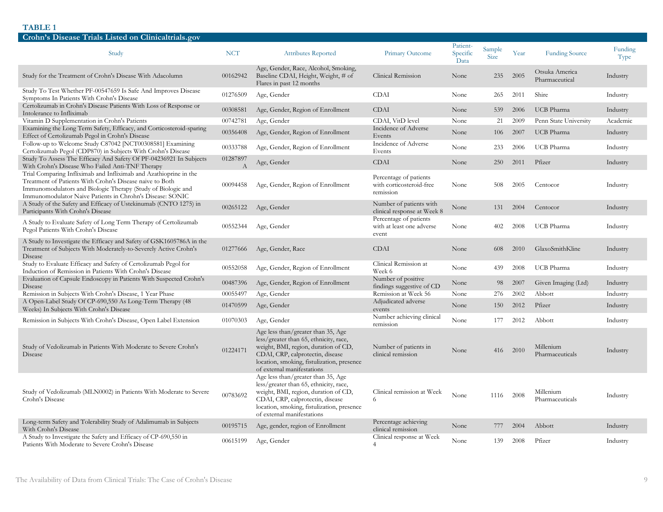| Crohn's Disease Trials Listed on Clinicaltrials.gov                                                                                                                                                                                                        |               |                                                                                                                                                                                                                                      |                                                                 |                              |                       |      |                                  |                 |
|------------------------------------------------------------------------------------------------------------------------------------------------------------------------------------------------------------------------------------------------------------|---------------|--------------------------------------------------------------------------------------------------------------------------------------------------------------------------------------------------------------------------------------|-----------------------------------------------------------------|------------------------------|-----------------------|------|----------------------------------|-----------------|
| Study                                                                                                                                                                                                                                                      | <b>NCT</b>    | <b>Attributes Reported</b>                                                                                                                                                                                                           | Primary Outcome                                                 | Patient-<br>Specific<br>Data | Sample<br><b>Size</b> | Year | <b>Funding Source</b>            | Funding<br>Type |
| Study for the Treatment of Crohn's Disease With Adacolumn                                                                                                                                                                                                  | 00162942      | Age, Gender, Race, Alcohol, Smoking,<br>Baseline CDAI, Height, Weight, # of<br>Flares in past 12 months                                                                                                                              | Clinical Remission                                              | None                         | 235                   | 2005 | Otsuka America<br>Pharmaceutical | Industry        |
| Study To Test Whether PF-00547659 Is Safe And Improves Disease<br>Symptoms In Patients With Crohn's Disease                                                                                                                                                | 01276509      | Age, Gender                                                                                                                                                                                                                          | <b>CDAI</b>                                                     | None                         | 265                   | 2011 | Shire                            | Industry        |
| Certolizumab in Crohn's Disease Patients With Loss of Response or<br>Intolerance to Infliximab                                                                                                                                                             | 00308581      | Age, Gender, Region of Enrollment                                                                                                                                                                                                    | <b>CDAI</b>                                                     | None                         | 539                   | 2006 | <b>UCB</b> Pharma                | Industry        |
| Vitamin D Supplementation in Crohn's Patients                                                                                                                                                                                                              | 00742781      | Age, Gender                                                                                                                                                                                                                          | CDAI, VitD level                                                | None                         | 21                    | 2009 | Penn State University            | Academic        |
| Examining the Long Term Safety, Efficacy, and Corticosteroid-sparing<br>Effect of Certolizumab Pegol in Crohn's Disease                                                                                                                                    | 00356408      | Age, Gender, Region of Enrollment                                                                                                                                                                                                    | Incidence of Adverse<br>Events                                  | None                         | 106                   | 2007 | <b>UCB</b> Pharma                | Industry        |
| Follow-up to Welcome Study C87042 [NCT00308581] Examining<br>Certolizumab Pegol (CDP870) in Subjects With Crohn's Disease                                                                                                                                  | 00333788      | Age, Gender, Region of Enrollment                                                                                                                                                                                                    | Incidence of Adverse<br>Events                                  | None                         | 233                   | 2006 | <b>UCB</b> Pharma                | Industry        |
| Study To Assess The Efficacy And Safety Of PF-04236921 In Subjects<br>With Crohn's Disease Who Failed Anti-TNF Therapy                                                                                                                                     | 01287897<br>А | Age, Gender                                                                                                                                                                                                                          | <b>CDAI</b>                                                     | None                         | 250                   | 2011 | Pfizer                           | Industry        |
| Trial Comparing Infliximab and Infliximab and Azathioprine in the<br>Treatment of Patients With Crohn's Disease naive to Both<br>Immunomodulators and Biologic Therapy (Study of Biologic and<br>Immunomodulator Naive Patients in Chrohn's Disease: SONIC | 00094458      | Age, Gender, Region of Enrollment                                                                                                                                                                                                    | Percentage of patients<br>with corticosteroid-free<br>remission | None                         | 508                   | 2005 | Centocor                         | Industry        |
| A Study of the Safety and Efficacy of Ustekinumab (CNTO 1275) in<br>Participants With Crohn's Disease                                                                                                                                                      | 00265122      | Age, Gender                                                                                                                                                                                                                          | Number of patients with<br>clinical response at Week 8          | None                         | 131                   | 2004 | Centocor                         | Industry        |
| A Study to Evaluate Safety of Long Term Therapy of Certolizumab<br>Pegol Patients With Crohn's Disease                                                                                                                                                     | 00552344      | Age, Gender                                                                                                                                                                                                                          | Percentage of patients<br>with at least one adverse<br>event    | None                         | 402                   | 2008 | <b>UCB</b> Pharma                | Industry        |
| A Study to Investigate the Efficacy and Safety of GSK1605786A in the<br>Treatment of Subjects With Moderately-to-Severely Active Crohn's<br>Disease                                                                                                        | 01277666      | Age, Gender, Race                                                                                                                                                                                                                    | <b>CDAI</b>                                                     | None                         | 608                   | 2010 | GlaxoSmithKline                  | Industry        |
| Study to Evaluate Efficacy and Safety of Certolizumab Pegol for<br>Induction of Remission in Patients With Crohn's Disease                                                                                                                                 | 00552058      | Age, Gender, Region of Enrollment                                                                                                                                                                                                    | Clinical Remission at<br>Week 6                                 | None                         | 439                   | 2008 | <b>UCB</b> Pharma                | Industry        |
| Evaluation of Capsule Endoscopy in Patients With Suspected Crohn's<br>Disease                                                                                                                                                                              | 00487396      | Age, Gender, Region of Enrollment                                                                                                                                                                                                    | Number of positive<br>findings suggestive of CD                 | None                         | 98                    | 2007 | Given Imaging (Ltd)              | Industry        |
| Remission in Subjects With Crohn's Disease, 1 Year Phase                                                                                                                                                                                                   | 00055497      | Age, Gender                                                                                                                                                                                                                          | Remission at Week 56                                            | None                         | 276                   | 2002 | Abbott                           | Industry        |
| A Open-Label Study Of CP-690,550 As Long-Term Therapy (48<br>Weeks) In Subjects With Crohn's Disease                                                                                                                                                       | 01470599      | Age, Gender                                                                                                                                                                                                                          | Adjudicated adverse<br>events                                   | None                         | 150                   | 2012 | Pfizer                           | Industry        |
| Remission in Subjects With Crohn's Disease, Open Label Extension                                                                                                                                                                                           | 01070303      | Age, Gender                                                                                                                                                                                                                          | Number achieving clinical<br>remission                          | None                         | 177                   | 2012 | Abbott                           | Industry        |
| Study of Vedolizumab in Patients With Moderate to Severe Crohn's<br>Disease                                                                                                                                                                                | 01224171      | Age less than/greater than 35, Age<br>less/greater than 65, ethnicity, race,<br>weight, BMI, region, duration of CD,<br>CDAI, CRP, calprotectin, disease<br>location, smoking, fistulization, presence<br>of external manifestations | Number of patients in<br>clinical remission                     | None                         | 416                   | 2010 | Millenium<br>Pharmaceuticals     | Industry        |
| Study of Vedolizumab (MLN0002) in Patients With Moderate to Severe<br>Crohn's Disease                                                                                                                                                                      | 00783692      | Age less than/greater than 35, Age<br>less/greater than 65, ethnicity, race,<br>weight, BMI, region, duration of CD,<br>CDAI, CRP, calprotectin, disease<br>location, smoking, fistulization, presence<br>of external manifestations | Clinical remission at Week<br>6                                 | None                         | 1116                  | 2008 | Millenium<br>Pharmaceuticals     | Industry        |
| Long-term Safety and Tolerability Study of Adalimumab in Subjects<br>With Crohn's Disease                                                                                                                                                                  | 00195715      | Age, gender, region of Enrollment                                                                                                                                                                                                    | Percentage achieving<br>clinical remission                      | None                         | 777                   | 2004 | Abbott                           | Industry        |
| A Study to Investigate the Safety and Efficacy of CP-690,550 in<br>Patients With Moderate to Severe Crohn's Disease                                                                                                                                        | 00615199      | Age, Gender                                                                                                                                                                                                                          | Clinical response at Week<br>$\overline{4}$                     | None                         | 139                   | 2008 | Pfizer                           | Industry        |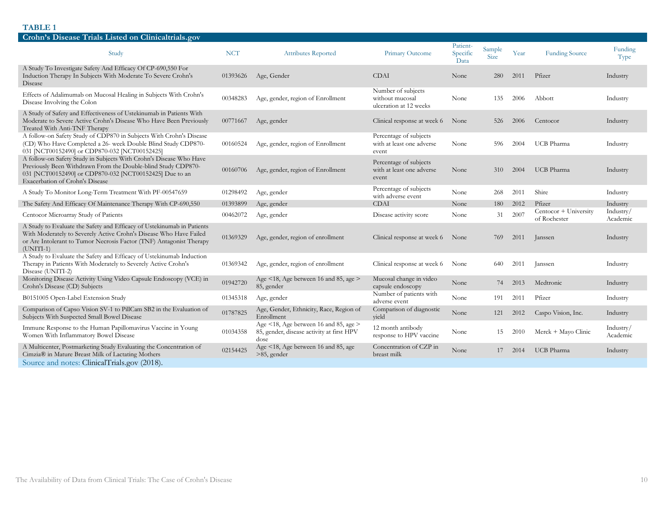| Crohn's Disease Trials Listed on Clinicaltrials.gov                                                                                                                                                                                |            |                                                                                            |                                                                 |                              |                       |      |                                       |                       |
|------------------------------------------------------------------------------------------------------------------------------------------------------------------------------------------------------------------------------------|------------|--------------------------------------------------------------------------------------------|-----------------------------------------------------------------|------------------------------|-----------------------|------|---------------------------------------|-----------------------|
| Study                                                                                                                                                                                                                              | <b>NCT</b> | <b>Attributes Reported</b>                                                                 | Primary Outcome                                                 | Patient-<br>Specific<br>Data | Sample<br><b>Size</b> | Year | <b>Funding Source</b>                 | Funding<br>Type       |
| A Study To Investigate Safety And Efficacy Of CP-690,550 For<br>Induction Therapy In Subjects With Moderate To Severe Crohn's<br>Disease                                                                                           |            | 01393626 Age, Gender                                                                       | <b>CDAI</b>                                                     | None                         | 280                   | 2011 | Pfizer                                | Industry              |
| Effects of Adalimumab on Mucosal Healing in Subjects With Crohn's<br>Disease Involving the Colon                                                                                                                                   | 00348283   | Age, gender, region of Enrollment                                                          | Number of subjects<br>without mucosal<br>ulceration at 12 weeks | None                         | 135                   | 2006 | Abbott                                | Industry              |
| A Study of Safety and Effectiveness of Ustekinumab in Patients With<br>Moderate to Severe Active Crohn's Disease Who Have Been Previously<br>Treated With Anti-TNF Therapy                                                         |            | 00771667 Age, gender                                                                       | Clinical response at week 6                                     | None                         | 526                   | 2006 | Centocor                              | Industry              |
| A follow-on Safety Study of CDP870 in Subjects With Crohn's Disease<br>(CD) Who Have Completed a 26- week Double Blind Study CDP870-<br>031 [NCT00152490] or CDP870-032 [NCT00152425]                                              | 00160524   | Age, gender, region of Enrollment                                                          | Percentage of subjects<br>with at least one adverse<br>event    | None                         | 596                   | 2004 | <b>UCB</b> Pharma                     | Industry              |
| A follow-on Safety Study in Subjects With Crohn's Disease Who Have<br>Previously Been Withdrawn From the Double-blind Study CDP870-<br>031 [NCT00152490] or CDP870-032 [NCT00152425] Due to an<br>Exacerbation of Crohn's Disease  | 00160706   | Age, gender, region of Enrollment                                                          | Percentage of subjects<br>with at least one adverse<br>event    | None                         | 310                   | 2004 | <b>UCB</b> Pharma                     | Industry              |
| A Study To Monitor Long-Term Treatment With PF-00547659                                                                                                                                                                            | 01298492   | Age, gender                                                                                | Percentage of subjects<br>with adverse event                    | None                         | 268                   | 2011 | Shire                                 | Industry              |
| The Safety And Efficacy Of Maintenance Therapy With CP-690,550                                                                                                                                                                     | 01393899   | Age, gender                                                                                | <b>CDAI</b>                                                     | None                         | 180                   | 2012 | Pfizer                                | Industry              |
| Centocor Microarray Study of Patients                                                                                                                                                                                              | 00462072   | Age, gender                                                                                | Disease activity score                                          | None                         | 31                    | 2007 | Centocor + University<br>of Rochester | Industry/<br>Academic |
| A Study to Evaluate the Safety and Efficacy of Ustekinumab in Patients<br>With Moderately to Severely Active Crohn's Disease Who Have Failed<br>or Are Intolerant to Tumor Necrosis Factor (TNF) Antagonist Therapy<br>$(UNITI-1)$ | 01369329   | Age, gender, region of enrollment                                                          | Clinical response at week 6 None                                |                              | 769                   | 2011 | anssen                                | Industry              |
| A Study to Evaluate the Safety and Efficacy of Ustekinumab Induction<br>Therapy in Patients With Moderately to Severely Active Crohn's<br>Disease (UNITI-2)                                                                        | 01369342   | Age, gender, region of enrollment                                                          | Clinical response at week 6                                     | None                         | 640                   | 2011 | Janssen                               | Industry              |
| Monitoring Disease Activity Using Video Capsule Endoscopy (VCE) in<br>Crohn's Disease (CD) Subjects                                                                                                                                | 01942720   | Age $\leq$ 18, Age between 16 and 85, age $>$<br>85, gender                                | Mucosal change in video<br>capsule endoscopy                    | None                         | 74                    | 2013 | Medtronic                             | Industry              |
| B0151005 Open-Label Extension Study                                                                                                                                                                                                | 01345318   | Age, gender                                                                                | Number of patients with<br>adverse event                        | None                         | 191                   | 2011 | Pfizer                                | Industry              |
| Comparison of Capso Vision SV-1 to PillCam SB2 in the Evaluation of<br>Subjects With Suspected Small Bowel Disease                                                                                                                 | 01787825   | Age, Gender, Ethnicity, Race, Region of<br>Enrollment                                      | Comparison of diagnostic<br>yield                               | None                         | 121                   | 2012 | Caspo Vision, Inc.                    | Industry              |
| Immune Response to the Human Papillomavirus Vaccine in Young<br>Women With Inflammatory Bowel Disease                                                                                                                              | 01034358   | Age <18, Age between 16 and 85, age ><br>85, gender, disease activity at first HPV<br>dose | 12 month antibody<br>response to HPV vaccine                    | None                         | 15                    | 2010 | Merck + Mayo Clinic                   | Industry/<br>Academic |
| A Multicenter, Postmarketing Study Evaluating the Concentration of<br>Cimzia® in Mature Breast Milk of Lactating Mothers                                                                                                           | 02154425   | Age <18, Age between 16 and 85, age<br>$>85$ , gender                                      | Concentration of CZP in<br>breast milk                          | None                         | 17                    | 2014 | <b>UCB</b> Pharma                     | Industry              |
| Source and notes: ClinicalTrials.gov (2018).                                                                                                                                                                                       |            |                                                                                            |                                                                 |                              |                       |      |                                       |                       |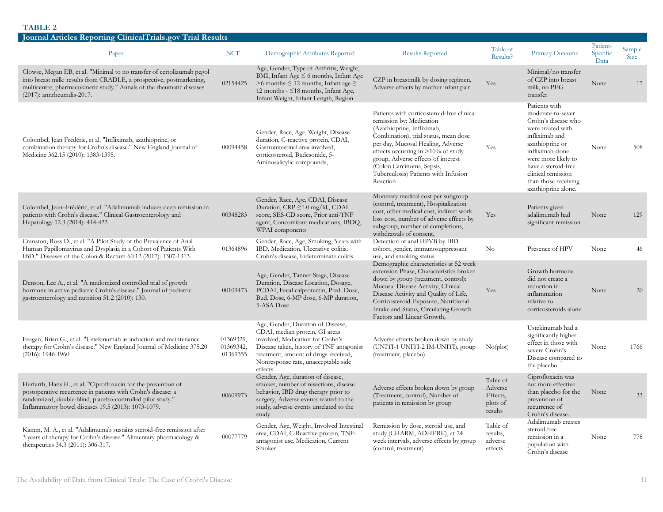| Journal Articles Reporting Clinical Trials.gov Trial Results                                                                                                                                                                                            |                                    |                                                                                                                                                                                                                                               |                                                                                                                                                                                                                                                                                                                                                    |                                                        |                                                                                                                                                                                                                                                            |                              |                       |
|---------------------------------------------------------------------------------------------------------------------------------------------------------------------------------------------------------------------------------------------------------|------------------------------------|-----------------------------------------------------------------------------------------------------------------------------------------------------------------------------------------------------------------------------------------------|----------------------------------------------------------------------------------------------------------------------------------------------------------------------------------------------------------------------------------------------------------------------------------------------------------------------------------------------------|--------------------------------------------------------|------------------------------------------------------------------------------------------------------------------------------------------------------------------------------------------------------------------------------------------------------------|------------------------------|-----------------------|
| Paper                                                                                                                                                                                                                                                   | <b>NCT</b>                         | Demographic Attributes Reported                                                                                                                                                                                                               | <b>Results Reported</b>                                                                                                                                                                                                                                                                                                                            | Table of<br>Results?                                   | Primary Outcome                                                                                                                                                                                                                                            | Patient-<br>Specific<br>Data | Sample<br><b>Size</b> |
| Clowse, Megan EB, et al. "Minimal to no transfer of certolizumab pegol<br>into breast milk: results from CRADLE, a prospective, postmarketing,<br>multicentre, pharmacokinetic study." Annals of the rheumatic diseases<br>$(2017)$ : annrheumdis-2017. | 02154425                           | Age, Gender, Type of Arthritis, Weight,<br>BMI, Infant Age $\leq$ 6 months, Infant Age<br>>6 months- $\leq$ 12 months, Infant age $\geq$<br>12 months - ≤18 months, Infant Age,<br>Infant Weight, Infant Length, Region                       | CZP in breastmilk by dosing regimen,<br>Adverse effects by mother infant pair                                                                                                                                                                                                                                                                      | Yes                                                    | Minimal/no transfer<br>of CZP into breast<br>milk, no PEG<br>transfer                                                                                                                                                                                      | None                         | 17                    |
| Colombel, Jean Frédéric, et al. "Infliximab, azathioprine, or<br>combination therapy for Crohn's disease." New England Journal of<br>Medicine 362.15 (2010): 1383-1395.                                                                                 | 00094458                           | Gender, Race, Age, Weight, Disease<br>duration, C-reactive protein, CDAI,<br>Gastrointestinal area involved,<br>corticosteroid, Budesonide, 5-<br>Aminosalicylic compounds,                                                                   | Patients with corticosteroid-free clinical<br>remission by: Medication<br>(Azathioprine, Infliximab,<br>Combination), trial status, mean dose<br>per day, Mucosal Healing, Adverse<br>effects occurring in $>10\%$ of study<br>group, Adverse effects of interest<br>(Colon Carcinoma, Sepsis,<br>Tuberculosis) Patients with Infusion<br>Reaction | Yes                                                    | Patients with<br>moderate-to-sever<br>Crohn's disease who<br>were treated with<br>infliximab and<br>azathioprine or<br>infliximab alone<br>were more likely to<br>have a steroid-free<br>clinical remission<br>than those receiving<br>azathioprine alone. | None                         | 508                   |
| Colombel, Jean-Frédéric, et al. "Adalimumab induces deep remission in<br>patients with Crohn's disease." Clinical Gastroenterology and<br>Hepatology 12.3 (2014): 414-422.                                                                              | 00348283                           | Gender, Race, Age, CDAI, Disease<br>Duration, CRP ≥1.0 mg/ld., CDAI<br>score, SES-CD score, Prior anti-TNF<br>agent, Concomitant medications, IBDQ.<br>WPAI components                                                                        | Monetary medical cost per subgroup<br>(control, treatment), Hospitalization<br>cost, other medical cost, indirect work<br>loss cost, number of adverse effects by<br>subgroup, number of completions,<br>withdrawals of consent,                                                                                                                   | Yes                                                    | Patients given<br>adalimumab had<br>significant remission                                                                                                                                                                                                  | None                         | 129                   |
| Cranston, Ross D., et al. "A Pilot Study of the Prevalence of Anal<br>Human Papillomavirus and Dysplasia in a Cohort of Patients With<br>IBD." Diseases of the Colon & Rectum 60.12 (2017): 1307-1313.                                                  | 01364896                           | Gender, Race, Age, Smoking, Years with<br>IBD, Medication, Ulcerative colitis,<br>Crohn's disease, Indeterminate colitis                                                                                                                      | Detection of anal HPVB by IBD<br>cohort, gender, immunosuppressant<br>use, and smoking status                                                                                                                                                                                                                                                      | No                                                     | Presence of HPV                                                                                                                                                                                                                                            | None                         | 46                    |
| Denson, Lee A., et al. "A randomized controlled trial of growth<br>hormone in active pediatric Crohn's disease." Journal of pediatric<br>gastroenterology and nutrition 51.2 (2010): 130.                                                               | 00109473                           | Age, Gender, Tanner Stage, Disease<br>Duration, Disease Location, Dosage,<br>PCDAI, Fecal calprotectin, Pred. Dose,<br>Bud. Dose, 6-MP dose, 6-MP duration,<br>5-ASA Dose                                                                     | Demographic characteristics at 52 week<br>extension Phase, Characteristics broken<br>down by group (treatment, control):<br>Mucosal Disease Activity, Clinical<br>Disease Activity and Quality of Life,<br>Corticosteroid Exposure, Nutritional<br>Intake and Status, Circulating Growth<br>Factors and Linear Growth,                             | Yes                                                    | Growth hormone<br>did not create a<br>reduction in<br>inflammation<br>relative to<br>corticosteroids alone                                                                                                                                                 | None                         | 20                    |
| Feagan, Brian G., et al. "Ustekinumab as induction and maintenance<br>therapy for Crohn's disease." New England Journal of Medicine 375.20<br>$(2016): 1946-1960.$                                                                                      | 01369329,<br>01369342,<br>01369355 | Age, Gender, Duration of Disease,<br>CDAI, median protein, GI areas<br>involved, Medication for Crohn's<br>Disease taken, history of TNF antagonist<br>treatment, amount of drugs received,<br>Nonresponse rate, unacceptable side<br>effects | Adverse effects broken down by study<br>(UNITI-1 UNITI-2 IM-UNITI), group<br>(treatment, placebo)                                                                                                                                                                                                                                                  | No(plot)                                               | Ustekinumab had a<br>significantly higher<br>effect in those with<br>severe Crohn's<br>Disease compared to<br>the placebo                                                                                                                                  | None                         | 1766                  |
| Herfarth, Hans H., et al. "Ciprofloxacin for the prevention of<br>postoperative recurrence in patients with Crohn's disease: a<br>randomized, double-blind, placebo-controlled pilot study."<br>Inflammatory bowel diseases 19.5 (2013): 1073-1079.     | 00609973                           | Gender, Age, duration of disease,<br>smoker, number of resections, disease<br>behavior, IBD drug therapy prior to<br>surgery, Adverse events related to the<br>study, adverse events unrelated to the<br>study                                | Adverse effects broken down by group<br>(Treatment, control), Number of<br>patients in remission by group                                                                                                                                                                                                                                          | Table of<br>Adverse<br>Effects,<br>plots of<br>results | Ciprofloxacin was<br>not more effective<br>than placebo for the<br>prevention of<br>recurrence of<br>Crohn's disease.                                                                                                                                      | None                         | 33                    |
| Kamm, M. A., et al. "Adalimumab sustains steroid-free remission after<br>3 years of therapy for Crohn's disease." Alimentary pharmacology &<br>therapeutics 34.3 (2011): 306-317.                                                                       | 00077779                           | Gender, Age, Weight, Involved Intestinal<br>area, CDAI, C-Reactive protein, TNF-<br>antagonist use, Medication, Current<br>Smoker                                                                                                             | Remission by dose, steroid use, and<br>study (CHARM, ADHERE), at 24<br>week intervals, adverse effects by group<br>(control, treatment)                                                                                                                                                                                                            | Table of<br>results,<br>adverse<br>effects             | Adalimumab creates<br>steroid free<br>remission in a<br>population with<br>Crohn's disease                                                                                                                                                                 | None                         | 778                   |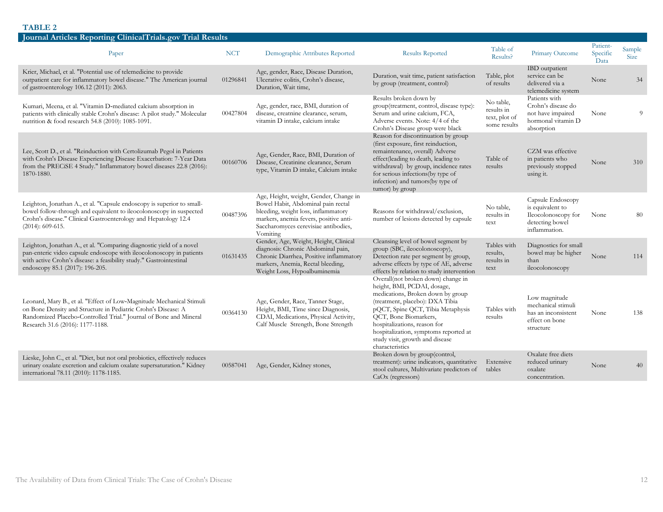| Journal Articles Reporting ClinicalTrials.gov Trial Results                                                                                                                                                                                            |            |                                                                                                                                                                                                                   |                                                                                                                                                                                                                                                                                                                                        |                                                          |                                                                                                  |                              |                       |
|--------------------------------------------------------------------------------------------------------------------------------------------------------------------------------------------------------------------------------------------------------|------------|-------------------------------------------------------------------------------------------------------------------------------------------------------------------------------------------------------------------|----------------------------------------------------------------------------------------------------------------------------------------------------------------------------------------------------------------------------------------------------------------------------------------------------------------------------------------|----------------------------------------------------------|--------------------------------------------------------------------------------------------------|------------------------------|-----------------------|
| Paper                                                                                                                                                                                                                                                  | <b>NCT</b> | Demographic Attributes Reported                                                                                                                                                                                   | <b>Results Reported</b>                                                                                                                                                                                                                                                                                                                | Table of<br>Results?                                     | Primary Outcome                                                                                  | Patient-<br>Specific<br>Data | Sample<br><b>Size</b> |
| Krier, Michael, et al. "Potential use of telemedicine to provide<br>outpatient care for inflammatory bowel disease." The American journal<br>of gastroenterology 106.12 (2011): 2063.                                                                  | 01296841   | Age, gender, Race, Disease Duration,<br>Ulcerative colitis, Crohn's disease,<br>Duration, Wait time,                                                                                                              | Duration, wait time, patient satisfaction<br>by group (treatment, control)                                                                                                                                                                                                                                                             | Table, plot<br>of results                                | IBD outpatient<br>service can be<br>delivered via a<br>telemedicine system                       | None                         | 34                    |
| Kuman, Meena, et al. "Vitamin D-mediated calcium absorption in<br>patients with clinically stable Crohn's disease: A pilot study." Molecular<br>nutrition & food research 54.8 (2010): 1085-1091.                                                      | 00427804   | Age, gender, race, BMI, duration of<br>disease, creatnine clearance, serum,<br>vitamin D intake, calcium intake                                                                                                   | Results broken down by<br>group(treatment, control, disease type):<br>Serum and urine calcium, FCA,<br>Adverse events. Note: 4/4 of the<br>Crohn's Disease group were black                                                                                                                                                            | No table,<br>results in<br>text, plot of<br>some results | Patients with<br>Crohn's disease do<br>not have impaired<br>hormonal vitamin D<br>absorption     | None                         | $\Omega$              |
| Lee, Scott D., et al. "Reinduction with Certolizumab Pegol in Patients<br>with Crohn's Disease Experiencing Disease Exacerbation: 7-Year Data<br>from the PRECiSE 4 Study." Inflammatory bowel diseases 22.8 (2016):<br>1870-1880.                     | 00160706   | Age, Gender, Race, BMI, Duration of<br>Disease, Creatinine clearance, Serum<br>type, Vitamin D intake, Calcium intake                                                                                             | Reason for discontinuation by group<br>(first exposure, first reinduction,<br>remaintenance, overall) Adverse<br>effect(leading to death, leading to<br>withdrawal) by group, incidence rates<br>for serious infections(by type of<br>infection) and tumors(by type of<br>tumor) by group                                              | Table of<br>results                                      | CZM was effective<br>in patients who<br>previously stopped<br>using it.                          | None                         | 310                   |
| Leighton, Jonathan A., et al. "Capsule endoscopy is superior to small-<br>bowel follow-through and equivalent to ileocolonoscopy in suspected<br>Crohn's disease." Clinical Gastroenterology and Hepatology 12.4<br>$(2014): 609-615.$                 | 00487396   | Age, Height, weight, Gender, Change in<br>Bowel Habit, Abdominal pain rectal<br>bleeding, weight loss, inflammatory<br>markers, anemia fevers, positive anti-<br>Saccharomyces cerevisiae antibodies,<br>Vomiting | Reasons for withdrawal/exclusion,<br>number of lesions detected by capsule                                                                                                                                                                                                                                                             | No table,<br>results in<br>text                          | Capsule Endoscopy<br>is equivalent to<br>Ileocolonoscopy for<br>detecting bowel<br>inflammation. | None                         | 80                    |
| Leighton, Jonathan A., et al. "Comparing diagnostic yield of a novel<br>pan-enteric video capsule endoscope with ileocolonoscopy in patients<br>with active Crohn's disease: a feasibility study." Gastrointestinal<br>endoscopy 85.1 (2017): 196-205. | 01631435   | Gender, Age, Weight, Height, Clinical<br>diagnosis: Chronic Abdominal pain,<br>Chronic Diarrhea, Positive inflammatory<br>markers, Anemia, Rectal bleeding,<br>Weight Loss, Hypoalbuminemia                       | Cleansing level of bowel segment by<br>group (SBC, ileocolonoscopy),<br>Detection rate per segment by group,<br>adverse effects by type of AE, adverse<br>effects by relation to study intervention                                                                                                                                    | Tables with<br>results,<br>results in<br>text            | Diagnostics for small<br>bowel may be higher<br>than<br>ileocolonoscopy                          | None                         | 114                   |
| Leonard, Mary B., et al. "Effect of Low-Magnitude Mechanical Stimuli<br>on Bone Density and Structure in Pediatric Crohn's Disease: A<br>Randomized Placebo-Controlled Trial." Journal of Bone and Mineral<br>Research 31.6 (2016): 1177-1188.         | 00364130   | Age, Gender, Race, Tanner Stage,<br>Height, BMI, Time since Diagnosis,<br>CDAI, Medications, Physical Activity,<br>Calf Muscle Strength, Bone Strength                                                            | Overall(not broken down) change in<br>height, BMI, PCDAI, dosage,<br>medications, Broken down by group<br>(treatment, placebo): DXA Tibia<br>pQCT, Spine QCT, Tibia Metaphysis<br>QCT, Bone Biomarkers,<br>hospitalizations, reason for<br>hospitalization, symptoms reported at<br>study visit, growth and disease<br>characteristics | Tables with<br>results                                   | Low magnitude<br>mechanical stimuli<br>has an inconsistent<br>effect on bone<br>structure        | None                         | 138                   |
| Lieske, John C., et al. "Diet, but not oral probiotics, effectively reduces<br>urinary oxalate excretion and calcium oxalate supersaturation." Kidney<br>international 78.11 (2010): 1178-1185.                                                        | 00587041   | Age, Gender, Kidney stones,                                                                                                                                                                                       | Broken down by group(control,<br>treatment): urine indicators, quantitative<br>stool cultures, Multivariate predictors of<br>$CaOx$ (regressors)                                                                                                                                                                                       | Extensive<br>tables                                      | Oxalate free diets<br>reduced urinary<br>oxalate<br>concentration.                               | None                         | 40                    |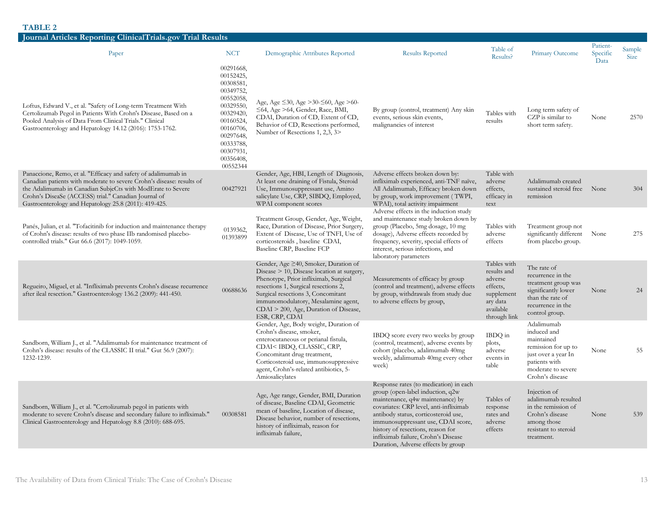| Journal Articles Reporting ClinicalTrials.gov Trial Results                                                                                                                                                                                                                                                             |                                                                                                                                                                                   |                                                                                                                                                                                                                                                                                                                       |                                                                                                                                                                                                                                                                                                                                                          |                                                                                                          |                                                                                                                                                 |                              |                |
|-------------------------------------------------------------------------------------------------------------------------------------------------------------------------------------------------------------------------------------------------------------------------------------------------------------------------|-----------------------------------------------------------------------------------------------------------------------------------------------------------------------------------|-----------------------------------------------------------------------------------------------------------------------------------------------------------------------------------------------------------------------------------------------------------------------------------------------------------------------|----------------------------------------------------------------------------------------------------------------------------------------------------------------------------------------------------------------------------------------------------------------------------------------------------------------------------------------------------------|----------------------------------------------------------------------------------------------------------|-------------------------------------------------------------------------------------------------------------------------------------------------|------------------------------|----------------|
| Paper                                                                                                                                                                                                                                                                                                                   | <b>NCT</b>                                                                                                                                                                        | Demographic Attributes Reported                                                                                                                                                                                                                                                                                       | <b>Results Reported</b>                                                                                                                                                                                                                                                                                                                                  | Table of<br>Results?                                                                                     | Primary Outcome                                                                                                                                 | Patient-<br>Specific<br>Data | Sample<br>Size |
| Loftus, Edward V., et al. "Safety of Long-term Treatment With<br>Certolizumab Pegol in Patients With Crohn's Disease, Based on a<br>Pooled Analysis of Data From Clinical Trials." Clinical<br>Gastroenterology and Hepatology 14.12 (2016): 1753-1762.                                                                 | 00291668,<br>00152425,<br>00308581,<br>00349752,<br>00552058,<br>00329550,<br>00329420,<br>00160524,<br>00160706,<br>00297648,<br>00333788,<br>00307931,<br>00356408,<br>00552344 | Age, Age ≤30, Age >30-≤60, Age >60-<br>$\leq$ 64, Age >64, Gender, Race, BMI,<br>CDAI, Duration of CD, Extent of CD,<br>Behavior of CD, Resections performed,<br>Number of Resections 1, 2,3, 3>                                                                                                                      | By group (control, treatment) Any skin<br>events, serious skin events,<br>malignancies of interest                                                                                                                                                                                                                                                       | Tables with<br>results                                                                                   | Long term safety of<br>CZP is similar to<br>short term safety.                                                                                  | None                         | 2570           |
| Panaccione, Remo, et al. "Efficacy and safety of adalimumab in<br>Canadian patients with moderate to severe Crohn's disease: results of<br>the Adalimumab in Canadian SubjeCts with ModErate to Severe<br>Crohn's DiseaSe (ACCESS) trial." Canadian Journal of<br>Gastroenterology and Hepatology 25.8 (2011): 419-425. | 00427921                                                                                                                                                                          | Gender, Age, HBI, Length of Diagnosis,<br>At least one draining of Fistula, Steroid<br>Use, Immunosuppressant use, Amino<br>salicylate Use, CRP, SIBDQ, Employed,<br>WPAI component scores                                                                                                                            | Adverse effects broken down by:<br>infliximab experienced, anti-TNF naïve,<br>All Adalimumab, Efficacy broken down<br>by group, work improvement (TWPI,<br>WPAI), total activity impairment                                                                                                                                                              | Table with<br>adverse<br>effects,<br>efficacy in<br>text                                                 | Adalimumab created<br>sustained steroid free None<br>remission                                                                                  |                              | 304            |
| Panés, Julian, et al. "Tofacitinib for induction and maintenance therapy<br>of Crohn's disease: results of two phase IIb randomised placebo-<br>controlled trials." Gut 66.6 (2017): 1049-1059.                                                                                                                         | 0139362,<br>01393899                                                                                                                                                              | Treatment Group, Gender, Age, Weight,<br>Race, Duration of Disease, Prior Surgery,<br>Extent of Disease, Use of TNFI, Use of<br>corticosteroids, baseline CDAI,<br>Baseline CRP, Baseline FCP                                                                                                                         | Adverse effects in the induction study<br>and maintenance study broken down by<br>group (Placebo, 5mg dosage, 10 mg<br>dosage), Adverse effects recorded by<br>frequency, severity, special effects of<br>interest, serious infections, and<br>laboratory parameters                                                                                     | Tables with<br>adverse<br>effects                                                                        | Treatment group not<br>significantly different<br>from placebo group.                                                                           | None                         | 275            |
| Regueiro, Miguel, et al. "Infliximab prevents Crohn's disease recurrence<br>after ileal resection." Gastroenterology 136.2 (2009): 441-450.                                                                                                                                                                             | 00688636                                                                                                                                                                          | Gender, Age $\geq 40$ , Smoker, Duration of<br>Disease > 10, Disease location at surgery,<br>Phenotype, Prior infliximab, Surgical<br>resections 1, Surgical resections 2,<br>Surgical resections 3, Concomitant<br>immunomodulatory, Mesalamine agent,<br>$CDAI > 200$ , Age, Duration of Disease,<br>ESR, CRP, CDAI | Measurements of efficacy by group<br>(control and treatment), adverse effects<br>by group, withdrawals from study due<br>to adverse effects by group,                                                                                                                                                                                                    | Tables with<br>results and<br>adverse<br>effects,<br>supplement<br>ary data<br>available<br>through link | The rate of<br>recurrence in the<br>treatment group was<br>significantly lower<br>than the rate of<br>recurrence in the<br>control group.       | None                         | 24             |
| Sandborn, William J., et al. "Adalimumab for maintenance treatment of<br>Crohn's disease: results of the CLASSIC II trial." Gut 56.9 (2007):<br>1232-1239.                                                                                                                                                              |                                                                                                                                                                                   | Gender, Age, Body weight, Duration of<br>Crohn's disease, smoker,<br>enterocutaneous or perianal fistula,<br>CDAI <ibdq, classic,="" crp,<br="">Concomitant drug treatment,<br/>Corticosteroid use, immunosuppressive<br/>agent, Crohn's-related antibiotics, 5-<br/>Amiosalicylates</ibdq,>                          | IBDQ score every two weeks by group<br>(control, treatment), adverse events by<br>cohort (placebo, adalimumab 40mg<br>weekly, adalimumab 40mg every other<br>week)                                                                                                                                                                                       | IBDQ in<br>plots,<br>adverse<br>events in<br>table                                                       | Adalimumab<br>induced and<br>maintained<br>remission for up to<br>just over a year In<br>patients with<br>moderate to severe<br>Crohn's disease | None                         | 55             |
| Sandborn, William J., et al. "Certolizumab pegol in patients with<br>moderate to severe Crohn's disease and secondary failure to infliximab."<br>Clinical Gastroenterology and Hepatology 8.8 (2010): 688-695.                                                                                                          | 00308581                                                                                                                                                                          | Age, Age range, Gender, BMI, Duration<br>of disease, Baseline CDAI, Geometric<br>mean of baseline, Location of disease,<br>Disease behavior, number of resections,<br>history of infliximab, reason for<br>infliximab failure,                                                                                        | Response rates (to medication) in each<br>group (open-label induction, q2w<br>maintenance, q4w maintenance) by<br>covariates: CRP level, anti-infliximab<br>antibody status, corticosteroid use,<br>immunosuppressant use, CDAI score,<br>history of resections, reason for<br>infliximab failure, Crohn's Disease<br>Duration, Adverse effects by group | Tables of<br>response<br>rates and<br>adverse<br>effects                                                 | Injection of<br>adalimumab resulted<br>in the remission of<br>Crohn's disease<br>among those<br>resistant to steroid<br>treatment.              | None                         | 539            |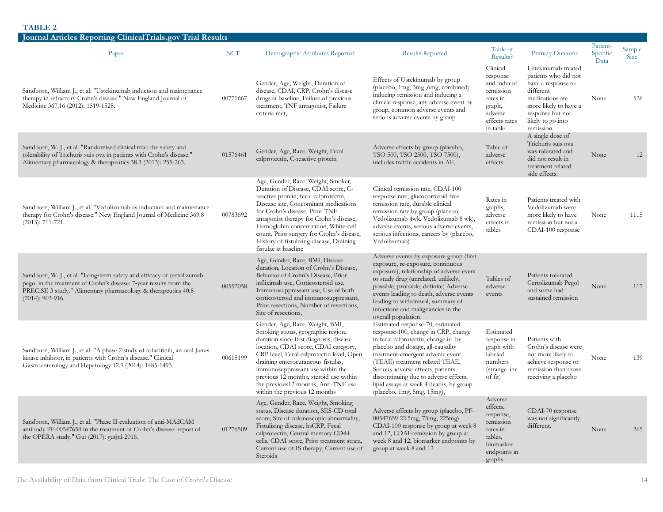| Journal Articles Reporting ClinicalTrials.gov Trial Results                                                                                                                                                                         |            |                                                                                                                                                                                                                                                                                                                                                                                                    |                                                                                                                                                                                                                                                                                                                                                                                  |                                                                                                                |                                                                                                                                                                                   |                              |                       |
|-------------------------------------------------------------------------------------------------------------------------------------------------------------------------------------------------------------------------------------|------------|----------------------------------------------------------------------------------------------------------------------------------------------------------------------------------------------------------------------------------------------------------------------------------------------------------------------------------------------------------------------------------------------------|----------------------------------------------------------------------------------------------------------------------------------------------------------------------------------------------------------------------------------------------------------------------------------------------------------------------------------------------------------------------------------|----------------------------------------------------------------------------------------------------------------|-----------------------------------------------------------------------------------------------------------------------------------------------------------------------------------|------------------------------|-----------------------|
| Paper                                                                                                                                                                                                                               | <b>NCT</b> | Demographic Attributes Reported                                                                                                                                                                                                                                                                                                                                                                    | <b>Results Reported</b>                                                                                                                                                                                                                                                                                                                                                          | Table of<br>Results?                                                                                           | Primary Outcome                                                                                                                                                                   | Patient-<br>Specific<br>Data | Sample<br><b>Size</b> |
| Sandborn, William J., et al. "Ustekinumab induction and maintenance<br>therapy in refractory Crohn's disease." New England Journal of<br>Medicine 367.16 (2012): 1519-1528.                                                         | 00771667   | Gender, Age, Weight, Duration of<br>disease, CDAI, CRP, Crohn's disease<br>drugs at baseline, Failure of previous<br>treatment, TNF antagonist, Failure<br>criteria met,                                                                                                                                                                                                                           | Effects of Ustekinumab by group<br>(placebo, 1mg, 3mg, 6mg, combined)<br>inducing remission and inducing a<br>clinical response, any adverse event by<br>group, common adverse events and<br>serious adverse events by group                                                                                                                                                     | Clinical<br>response<br>and induced<br>remission<br>rates in<br>graph,<br>adverse<br>effects rates<br>in table | Ustekinumab treated<br>patients who did not<br>have a response to<br>different<br>medications are<br>more likely to have a<br>response but not<br>likely to go into<br>remission. | None                         | 526                   |
| Sandborn, W. J., et al. "Randomised clinical trial: the safety and<br>tolerability of Trichuris suis ova in patients with Crohn's disease."<br>Alimentary pharmacology & therapeutics 38.3 (2013): 255-263.                         | 01576461   | Gender, Age, Race, Weight, Fecal<br>calprotectin, C-reactive protein                                                                                                                                                                                                                                                                                                                               | Adverse effects by group (placebo,<br>TSO 500, TSO 2500, TSO 7500),<br>includes traffic accidents in AE,                                                                                                                                                                                                                                                                         | Table of<br>adverse<br>effects                                                                                 | A single dose of<br>Trichuris suis ova<br>was tolerated and<br>did not result in<br>treatment related<br>side effects.                                                            | None                         | 12                    |
| Sandborn, William J., et al. "Vedolizumab as induction and maintenance<br>therapy for Crohn's disease." New England Journal of Medicine 369.8<br>$(2013): 711-721.$                                                                 | 00783692   | Age, Gender, Race, Weight, Smoker,<br>Duration of Disease, CDAI score, C-<br>reactive protein, fecal calprotectin,<br>Disease site, Concomitant medications<br>for Crohn's disease, Prior TNF<br>antagonist therapy for Crohn's disease,<br>Hemoglobin concentration, White-cell<br>count, Prior surgery for Crohn's disease,<br>History of fistulizing disease, Draining<br>fistulae at baseline  | Clinical remission rate, CDAI-100<br>response rate, glucocorticoid free<br>remission rate, durable clinical<br>remission rate by group (placebo,<br>Vedolizumab 4wk, Vedolizumab 8 wk),<br>adverse events, serious adverse events,<br>serious infections, cancers by (placebo,<br>Vedolizumab)                                                                                   | Rates in<br>graphs,<br>adverse<br>effects in<br>tables                                                         | Patients treated with<br>Vedolizumab were<br>more likely to have<br>remission but not a<br>CDAI-100 response                                                                      | None                         | 1115                  |
| Sandborn, W. J., et al. "Long-term safety and efficacy of certolizumab<br>pegol in the treatment of Crohn's disease: 7-year results from the<br>PRECISE 3 study." Alimentary pharmacology & therapeutics 40.8<br>$(2014): 903-916.$ | 00552058   | Age, Gender, Race, BMI, Disease<br>duration, Location of Crohn's Disease,<br>Behavior of Crohn's Disease, Prior<br>infliximab use, Corticosteroid use,<br>Immunosuppressant use, Use of both<br>corticosteroid and immunosuppressant,<br>Prior resections, Number of resections,<br>Site of resections,                                                                                            | Adverse events by exposure group (first<br>exposure, re-exposure, continuous<br>exposure), relationship of adverse event<br>to study drug (unrelated, unlikely,<br>possible, probable, definite) Adverse<br>events leading to death, adverse events<br>leading to withdrawal, summary of<br>infections and malignancies in the<br>overall population                             | Tables of<br>adverse<br>events                                                                                 | Patients tolerated<br>Certolizumab Pegol<br>and some had<br>sustained remission                                                                                                   | None                         | 117                   |
| Sandborn, William J., et al. "A phase 2 study of tofacitinib, an oral Janus<br>kinase inhibitor, in patients with Crohn's disease." Clinical<br>Gastroenterology and Hepatology 12.9 (2014): 1485-1493.                             | 00615199   | Gender, Age, Race, Weight, BMI,<br>Smoking status, geographic region,<br>duration since first diagnosis, disease<br>location, CDAI score, CDAI category,<br>CRP level, Fecal calprotectin level, Open<br>draining enterocutaneous fistulas,<br>immunosuppressant use within the<br>previous 12 months, steroid use within<br>the previous 12 months, Anti-TNF use<br>within the previous 12 months | Estimated response-70, estimated<br>response-100, change in CRP, change<br>in fecal calprotectin, change in by<br>placebo and dosage, all-causality<br>treatment-emergent adverse event<br>(TEAE) treatment related TEAE,<br>Serious adverse effects, patients<br>discontinuing due to adverse effects,<br>lipid assays at week 4 deaths, by group<br>(placebo, 1mg, 5mg, 15mg), | Estimated<br>response in<br>graph with<br>labeled<br>numbers<br>(strange line)<br>of fit)                      | Patients with<br>Crohn's disease were<br>not more likely to<br>achieve response or<br>remission than those<br>receiving a placebo                                                 | None                         | 139                   |
| Sandborn, William J., et al. "Phase II evaluation of anti-MAdCAM<br>antibody PF-00547659 in the treatment of Crohn's disease: report of<br>the OPERA study." Gut (2017): gutjnl-2016.                                               | 01276509   | Age, Gender, Race, Weight, Smoking<br>status, Disease duration, SES-CD total<br>score, Site of colonoscopic abnormality,<br>Fistulizing disease, hsCRP, Fecal<br>calprotectin, Central memory CD4+<br>cells, CDAI score, Prior treatment strata,<br>Current use of IS therapy, Current use of<br>Steroids                                                                                          | Adverse effects by group (placebo, PF-<br>00547659 22.5mg, 75mg, 225mg)<br>CDAI-100 response by group at week 8<br>and 12, CDAI-remission by group at<br>week 8 and 12, biomarker endpoints by<br>group at week 8 and 12                                                                                                                                                         | Adverse<br>effects,<br>response,<br>remission<br>rates in<br>tables,<br>biomarker<br>endpoints in<br>graphs    | CDAI-70 response<br>was not significantly<br>different.                                                                                                                           | None                         | 265                   |